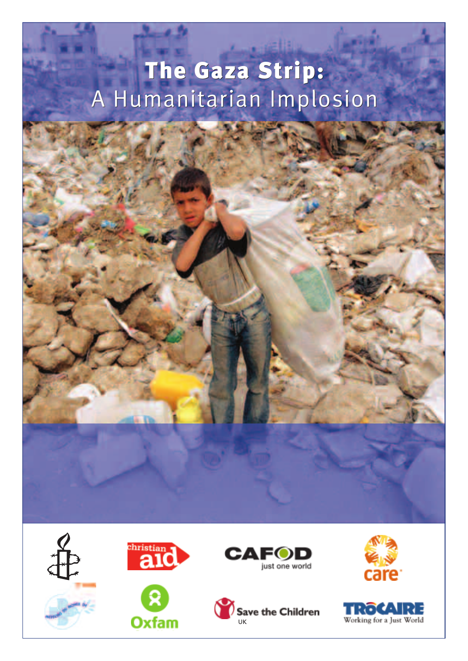# **The Gaza Strip: The Gaza Strip:** A Humanitarian Implosion A Humanitarian Implosion





**Oxfam** 







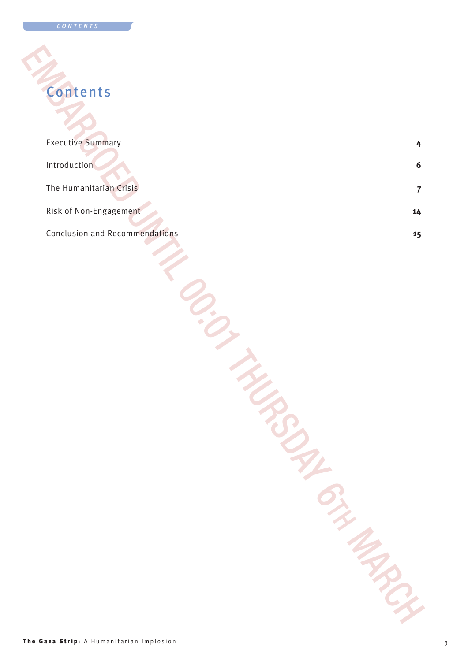# **Contents**

| <b>Executive Summary</b>              | 4  |
|---------------------------------------|----|
| Introduction                          | 6  |
| The Humanitarian Crisis               | 7  |
| Risk of Non-Engagement                | 14 |
| <b>Conclusion and Recommendations</b> | 15 |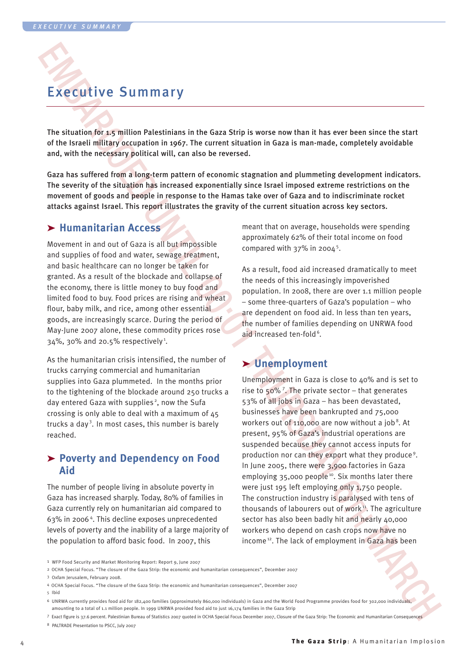## Executive Summary

The situation for 1.5 million Palestinians in the Gaza Strip is worse now than it has ever been since the start of the Israeli military occupation in 1967. The current situation in Gaza is man-made, completely avoidable and, with the necessary political will, can also be reversed.

Gaza has suffered from a long-term pattern of economic stagnation and plummeting development indicators. The severity of the situation has increased exponentially since Israel imposed extreme restrictions on the movement of goods and people in response to the Hamas take over of Gaza and to indiscriminate rocket attacks against Israel. This report illustrates the gravity of the current situation across key sectors.

### ➤ **Humanitarian Access**

Movement in and out of Gaza is all but impossible and supplies of food and water, sewage treatment, and basic healthcare can no longer be taken for granted. As a result of the blockade and collapse of the economy, there is little money to buy food and limited food to buy. Food prices are rising and wheat flour, baby milk, and rice, among other essential goods, are increasingly scarce. During the period of May-June 2007 alone, these commodity prices rose  $34\%$ ,  $30\%$  and 20.5% respectively<sup>1</sup>.

As the humanitarian crisis intensified, the number of trucks carrying commercial and humanitarian supplies into Gaza plummeted. In the months prior to the tightening of the blockade around 250 trucks a day entered Gaza with supplies<sup>2</sup>, now the Sufa crossing is only able to deal with a maximum of 45 trucks a dav<sup>3</sup>. In most cases, this number is barely reached.

#### ➤ **Poverty and Dependency on Food Aid**

The number of people living in absolute poverty in Gaza has increased sharply. Today, 80% of families in Gaza currently rely on humanitarian aid compared to 63% in 2006 <sup>4</sup> . This decline exposes unprecedented levels of poverty and the inability of a large majority of the population to afford basic food. In 2007, this

meant that on average, households were spending approximately 62% of their total income on food compared with  $37\%$  in 2004<sup>5</sup>.

As a result, food aid increased dramatically to meet the needs of this increasingly impoverished population. In 2008, there are over 1.1 million people – some three-quarters of Gaza's population – who are dependent on food aid. In less than ten years, the number of families depending on UNRWA food aid increased ten-fold<sup>6</sup>.

## ➤ **Unemployment**

EXECUTIVE SUMMIN TY<br>
The solution of the stress of the state of the state of the state of the state of the state of the state of the state of the state of the state of the state of the state of the state of the state of t Unemployment in Gaza is close to 40% and is set to rise to 50% <sup>7</sup> . The private sector – that generates 53% of all jobs in Gaza – has been devastated, businesses have been bankrupted and 75,000 workers out of  $110,000$  are now without a job<sup>8</sup>. At present, 95% of Gaza's industrial operations are suspended because they cannot access inputs for production nor can they export what they produce <sup>9</sup> . In June 2005, there were 3,900 factories in Gaza emploving 35,000 people<sup>10</sup>. Six months later there were just 195 left employing only 1,750 people. The construction industry is paralysed with tens of thousands of labourers out of work<sup>11</sup>. The agriculture sector has also been badly hit and nearly 40,000 workers who depend on cash crops now have no income<sup>12</sup>. The lack of employment in Gaza has been

- 4 OCHA Special Focus. "The closure of the Gaza Strip: the economic and humanitarian consequences", December 2007
- 5 Ibid
- 6 UNRWA currently provides food aid for 182,400 families (approximately 860,000 individuals) in Gaza and the World Food Programme provides food for 302,000 individuals, amounting to a total of 1.1 million people. In 1999 UNRWA provided food aid to just 16,174 families in the Gaza Strip
- 7 Exact figure is 37.6 percent. Palestinian Bureau of Statistics 2007 quoted in OCHA Special Focus December 2007, Closure of the Gaza Strip: The Economic and Humanitarian Consequences 8 PALTRADE Presentation to PSCC, July 2007

<sup>1</sup> WFP Food Security and Market Monitoring Report: Report 9, June 2007

<sup>2</sup> OCHA Special Focus. "The closure of the Gaza Strip: the economic and humanitarian consequences", December 2007

<sup>3</sup> Oxfam Jerusalem, February 2008.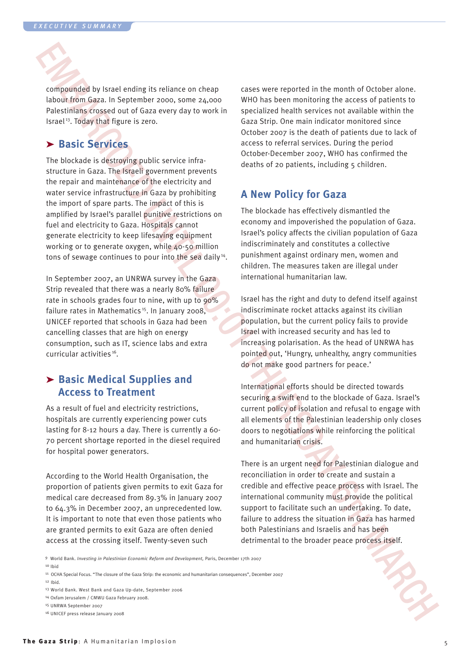compounded by Israel ending its reliance on cheap labour from Gaza. In September 2000, some 24,000 Palestinians crossed out of Gaza every day to work in Israel 13 . Today that figure is zero.

## ➤ **Basic Services**

EMBERGO INTERFERENCES CONTINUES IN the CONSULTER CONSULTER CONSULTER CONSULTER CONSULTER CONSULTER CONSULTER CONSULTER CONSULTER CONSULTER CONSULTER CONSULTER CONSULTER CONSULTER CONSULTER CONSULTER CONSULTER CONSULTER CO The blockade is destroying public service infrastructure in Gaza. The Israeli government prevents the repair and maintenance of the electricity and water service infrastructure in Gaza by prohibiting the import of spare parts. The impact of this is amplified by Israel's parallel punitive restrictions on fuel and electricity to Gaza. Hospitals cannot generate electricity to keep lifesaving equipment working or to generate oxygen, while 40-50 million tons of sewage continues to pour into the sea daily<sup>14</sup>.

In September 2007, an UNRWA survey in the Gaza Strip revealed that there was a nearly 80% failure rate in schools grades four to nine, with up to 90% failure rates in Mathematics<sup>15</sup>. In Ianuary 2008. UNICEF reported that schools in Gaza had been cancelling classes that are high on energy consumption, such as IT, science labs and extra curricular activities<sup>16</sup>.

### ➤ **Basic Medical Supplies and Access to Treatment**

As a result of fuel and electricity restrictions, hospitals are currently experiencing power cuts lasting for 8-12 hours a day. There is currently a 60- 70 percent shortage reported in the diesel required for hospital power generators.

According to the World Health Organisation, the proportion of patients given permits to exit Gaza for medical care decreased from 89.3% in January 2007 to 64.3% in December 2007, an unprecedented low. It is important to note that even those patients who are granted permits to exit Gaza are often denied access at the crossing itself. Twenty-seven such

cases were reported in the month of October alone. WHO has been monitoring the access of patients to specialized health services not available within the Gaza Strip. One main indicator monitored since October 2007 is the death of patients due to lack of access to referral services. During the period October-December 2007, WHO has confirmed the deaths of 20 patients, including 5 children.

### **A New Policy for Gaza**

The blockade has effectively dismantled the economy and impoverished the population of Gaza. Israel's policy affects the civilian population of Gaza indiscriminately and constitutes a collective punishment against ordinary men, women and children. The measures taken are illegal under international humanitarian law.

Israel has the right and duty to defend itself against indiscriminate rocket attacks against its civilian population, but the current policy fails to provide Israel with increased security and has led to increasing polarisation. As the head of UNRWA has pointed out, 'Hungry, unhealthy, angry communities do not make good partners for peace.'

International efforts should be directed towards securing a swift end to the blockade of Gaza. Israel's current policy of isolation and refusal to engage with all elements of the Palestinian leadership only closes doors to negotiations while reinforcing the political and humanitarian crisis.

There is an urgent need for Palestinian dialogue and reconciliation in order to create and sustain a credible and effective peace process with Israel. The international community must provide the political support to facilitate such an undertaking. To date, failure to address the situation in Gaza has harmed both Palestinians and Israelis and has been detrimental to the broader peace process itself.

9 World Bank. *Investing in Palestinian Economic Reform and Development,* Paris, December 17th 2007 10 Ibid

- 11 OCHA Special Focus. "The closure of the Gaza Strip: the economic and humanitarian consequences", December 2007 12 Ibid.
- 13 World Bank. West Bank and Gaza Up-date, September 2006
- 14 Oxfam Jerusalem / CMWU Gaza February 2008.
- 15 UNRWA September 2007

16 UNICEF press release January 2008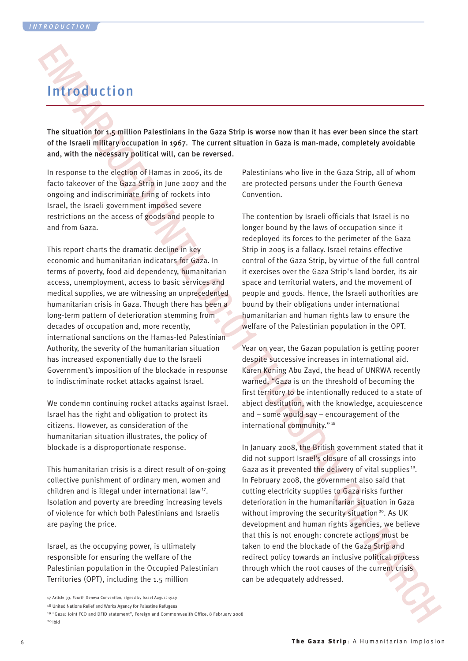# Introduction

The situation for 1.5 million Palestinians in the Gaza Strip is worse now than it has ever been since the start of the Israeli military occupation in 1967. The current situation in Gaza is man-made, completely avoidable and, with the necessary political will, can be reversed.

In response to the election of Hamas in 2006, its de facto takeover of the Gaza Strip in June 2007 and the ongoing and indiscriminate firing of rockets into Israel, the Israeli government imposed severe restrictions on the access of goods and people to and from Gaza.

**EMBED ON A CONSUMERATION** THE CONSULTER THE CONSULTER THE CONSULTER THE CONSULTER THE CONSULTER CONSULTER THE CONSULTER CONSULTER THE CONSULTER THE CONSULTER THE CONSULTER THE CONSULTER THE CONSULTER THE CONSULTER THE CO This report charts the dramatic decline in key economic and humanitarian indicators for Gaza. In terms of poverty, food aid dependency, humanitarian access, unemployment, access to basic services and medical supplies, we are witnessing an unprecedented humanitarian crisis in Gaza. Though there has been a long-term pattern of deterioration stemming from decades of occupation and, more recently, international sanctions on the Hamas-led Palestinian Authority, the severity of the humanitarian situation has increased exponentially due to the Israeli Government's imposition of the blockade in response to indiscriminate rocket attacks against Israel.

We condemn continuing rocket attacks against Israel. Israel has the right and obligation to protect its citizens. However, as consideration of the humanitarian situation illustrates, the policy of blockade is a disproportionate response.

This humanitarian crisis is a direct result of on-going collective punishment of ordinary men, women and children and is illegal under international law<sup>17</sup>. Isolation and poverty are breeding increasing levels of violence for which both Palestinians and Israelis are paying the price.

Israel, as the occupying power, is ultimately responsible for ensuring the welfare of the Palestinian population in the Occupied Palestinian Territories (OPT), including the 1.5 million

Palestinians who live in the Gaza Strip, all of whom are protected persons under the Fourth Geneva Convention.

The contention by Israeli officials that Israel is no longer bound by the laws of occupation since it redeployed its forces to the perimeter of the Gaza Strip in 2005 is a fallacy. Israel retains effective control of the Gaza Strip, by virtue of the full control it exercises over the Gaza Strip's land border, its air space and territorial waters, and the movement of people and goods. Hence, the Israeli authorities are bound by their obligations under international humanitarian and human rights law to ensure the welfare of the Palestinian population in the OPT.

Year on year, the Gazan population is getting poorer despite successive increases in international aid. Karen Koning Abu Zayd, the head of UNRWA recently warned, "Gaza is on the threshold of becoming the first territory to be intentionally reduced to a state of abject destitution, with the knowledge, acquiescence and – some would say – encouragement of the international community." <sup>18</sup>

In January 2008, the British government stated that it did not support Israel's closure of all crossings into Gaza as it prevented the delivery of vital supplies<sup>19</sup>. In February 2008, the government also said that cutting electricity supplies to Gaza risks further deterioration in the humanitarian situation in Gaza without improving the security situation<sup>20</sup>. As UK development and human rights agencies, we believe that this is not enough: concrete actions must be taken to end the blockade of the Gaza Strip and redirect policy towards an inclusive political process through which the root causes of the current crisis can be adequately addressed.

<sup>17</sup> Article 33, Fourth Geneva Convention, signed by Israel August 1949

<sup>18</sup> United Nations Relief and Works Agency for Palestine Refugees

<sup>19</sup> "Gaza: Joint FCO and DFID statement", Foreign and Commonwealth Office, 8 February 2008 20 Ibid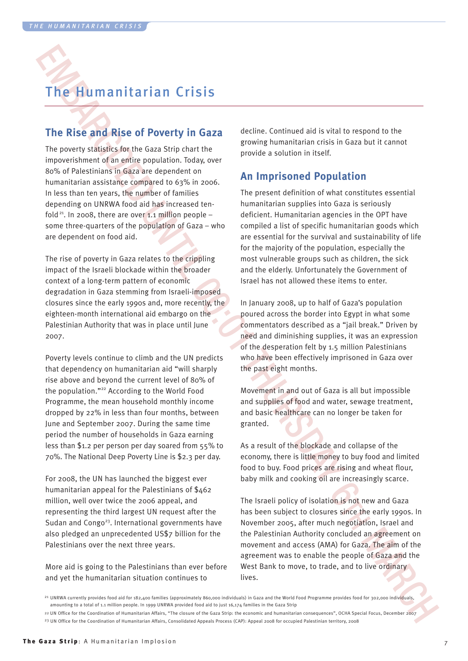## The Humanitarian Crisis

## **The Rise and Rise of Poverty in Gaza**

The poverty statistics for the Gaza Strip chart the impoverishment of an entire population. Today, over 80% of Palestinians in Gaza are dependent on humanitarian assistance compared to 63% in 2006. In less than ten years, the number of families depending on UNRWA food aid has increased tenfold<sup>21</sup>. In 2008, there are over 1.1 million people – some three-quarters of the population of Gaza – who are dependent on food aid.

The rise of poverty in Gaza relates to the crippling impact of the Israeli blockade within the broader context of a long-term pattern of economic degradation in Gaza stemming from Israeli-imposed closures since the early 1990s and, more recently, the eighteen-month international aid embargo on the Palestinian Authority that was in place until June 2007.

The Human nitrarian Crisis  $\frac{1}{2}$ <br>
The RIse and Rise of Poverty in 6222 center. Centered at a Syla cense of the animal state of the specific terms of the second of the specific terms of the second of the second of the Poverty levels continue to climb and the UN predicts that dependency on humanitarian aid "will sharply rise above and beyond the current level of 80% of the population."22 According to the World Food Programme, the mean household monthly income dropped by 22% in less than four months, between June and September 2007. During the same time period the number of households in Gaza earning less than \$1.2 per person per day soared from 55% to 70%. The National Deep Poverty Line is \$2.3 per day.

For 2008, the UN has launched the biggest ever humanitarian appeal for the Palestinians of \$462 million, well over twice the 2006 appeal, and representing the third largest UN request after the Sudan and Congo<sup>23</sup>, International governments have also pledged an unprecedented US\$7 billion for the Palestinians over the next three years.

More aid is going to the Palestinians than ever before and yet the humanitarian situation continues to

decline. Continued aid is vital to respond to the growing humanitarian crisis in Gaza but it cannot provide a solution in itself.

### **An Imprisoned Population**

The present definition of what constitutes essential humanitarian supplies into Gaza is seriously deficient. Humanitarian agencies in the OPT have compiled a list of specific humanitarian goods which are essential for the survival and sustainability of life for the majority of the population, especially the most vulnerable groups such as children, the sick and the elderly. Unfortunately the Government of Israel has not allowed these items to enter.

In January 2008, up to half of Gaza's population poured across the border into Egypt in what some commentators described as a "jail break." Driven by need and diminishing supplies, it was an expression of the desperation felt by 1.5 million Palestinians who have been effectively imprisoned in Gaza over the past eight months.

Movement in and out of Gaza is all but impossible and supplies of food and water, sewage treatment, and basic healthcare can no longer be taken for granted.

As a result of the blockade and collapse of the economy, there is little money to buy food and limited food to buy. Food prices are rising and wheat flour, baby milk and cooking oil are increasingly scarce.

The Israeli policy of isolation is not new and Gaza has been subject to closures since the early 1990s. In November 2005, after much negotiation, Israel and the Palestinian Authority concluded an agreement on movement and access (AMA) for Gaza. The aim of the agreement was to enable the people of Gaza and the West Bank to move, to trade, and to live ordinary lives.

<sup>21</sup> UNRWA currently provides food aid for 182,400 families (approximately 860,000 individuals) in Gaza and the World Food Programme provides food for 302,000 individuals, amounting to a total of 1.1 million people. In 1999 UNRWA provided food aid to just 16,174 families in the Gaza Strip

<sup>22</sup> UN Office for the Coordination of Humanitarian Affairs, "The closure of the Gaza Strip: the economic and humanitarian consequences", OCHA Special Focus, December 2007 <sup>23</sup> UN Office for the Coordination of Humanitarian Affairs, Consolidated Appeals Process (CAP): Appeal 2008 for occupied Palestinian territory, 2008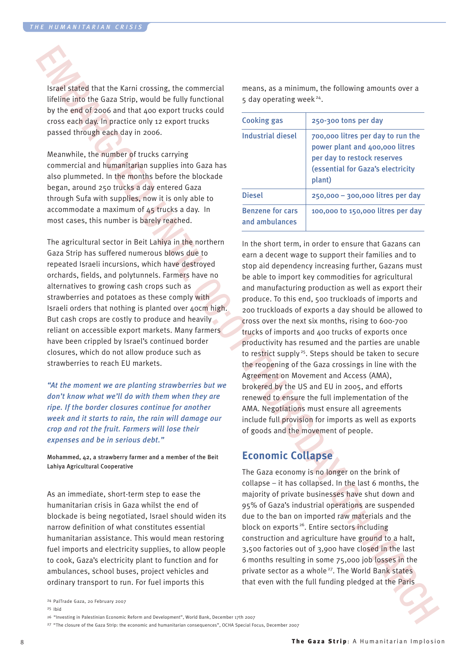Israel stated that the Karni crossing, the commercial lifeline into the Gaza Strip, would be fully functional by the end of 2006 and that 400 export trucks could cross each day. In practice only 12 export trucks passed through each day in 2006.

Meanwhile, the number of trucks carrying commercial and humanitarian supplies into Gaza has also plummeted. In the months before the blockade began, around 250 trucks a day entered Gaza through Sufa with supplies, now it is only able to accommodate a maximum of 45 trucks a day. In most cases, this number is barely reached.

The agricultural sector in Beit Lahiya in the northern Gaza Strip has suffered numerous blows due to repeated Israeli incursions, which have destroyed orchards, fields, and polytunnels. Farmers have no alternatives to growing cash crops such as strawberries and potatoes as these comply with Israeli orders that nothing is planted over 40cm high. But cash crops are costly to produce and heavily reliant on accessible export markets. Many farmers have been crippled by Israel's continued border closures, which do not allow produce such as strawberries to reach EU markets.

*"At the moment we are planting strawberries but we don't know what we'll do with them when they are ripe. If the border closures continue for another week and it starts to rain, the rain will damage our crop and rot the fruit. Farmers will lose their expenses and be in serious debt."*

Mohammed, 42, a strawberry farmer and a member of the Beit Lahiya Agricultural Cooperative

As an immediate, short-term step to ease the humanitarian crisis in Gaza whilst the end of blockade is being negotiated, Israel should widen its narrow definition of what constitutes essential humanitarian assistance. This would mean restoring fuel imports and electricity supplies, to allow people to cook, Gaza's electricity plant to function and for ambulances, school buses, project vehicles and ordinary transport to run. For fuel imports this

means, as a minimum, the following amounts over a  $5$  day operating week<sup>24</sup>.

| <b>Cooking gas</b>                        | 250-300 tons per day                                                                                                                              |
|-------------------------------------------|---------------------------------------------------------------------------------------------------------------------------------------------------|
| Industrial diesel                         | 700,000 litres per day to run the<br>power plant and 400,000 litres<br>per day to restock reserves<br>(essential for Gaza's electricity<br>plant) |
| <b>Diesel</b>                             | $250,000 - 300,000$ litres per day                                                                                                                |
| <b>Benzene for cars</b><br>and ambulances | 100,000 to 150,000 litres per day                                                                                                                 |

Stand species that the Karal constitue, the connected in means, as a minimum, the Hollowing amounts over a specific the matter of the connected in the form of the connected in the specific term is the specific term in the In the short term, in order to ensure that Gazans can earn a decent wage to support their families and to stop aid dependency increasing further, Gazans must be able to import key commodities for agricultural and manufacturing production as well as export their produce. To this end, 500 truckloads of imports and 200 truckloads of exports a day should be allowed to cross over the next six months, rising to 600-700 trucks of imports and 400 trucks of exports once productivity has resumed and the parties are unable to restrict supply<sup>25</sup>. Steps should be taken to secure the reopening of the Gaza crossings in line with the Agreement on Movement and Access (AMA), brokered by the US and EU in 2005, and efforts renewed to ensure the full implementation of the AMA. Negotiations must ensure all agreements include full provision for imports as well as exports of goods and the movement of people.

## **Economic Collapse**

The Gaza economy is no longer on the brink of collapse – it has collapsed. In the last 6 months, the majority of private businesses have shut down and 95% of Gaza's industrial operations are suspended due to the ban on imported raw materials and the block on exports<sup>26</sup>. Entire sectors including construction and agriculture have ground to a halt, 3,500 factories out of 3,900 have closed in the last 6 months resulting in some 75,000 job losses in the private sector as a whole<sup>27</sup>. The World Bank states that even with the full funding pledged at the Paris

25 Ibid

26 "Investing in Palestinian Economic Reform and Development", World Bank, December 17th 2007

<sup>24</sup> PalTrade Gaza, 20 February 2007

<sup>&</sup>lt;sup>27</sup> "The closure of the Gaza Strip: the economic and humanitarian consequences", OCHA Special Focus, December 2007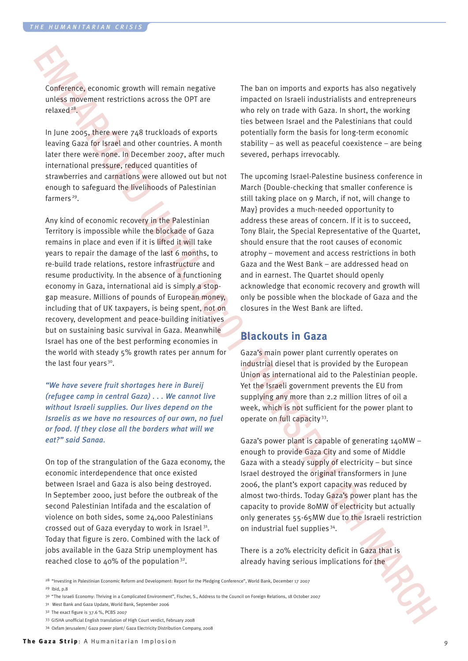Conference, economic growth will remain negative unless movement restrictions across the OPT are relaxed<sup>28</sup>.

In June 2005, there were 748 truckloads of exports leaving Gaza for Israel and other countries. A month later there were none. In December 2007, after much international pressure, reduced quantities of strawberries and carnations were allowed out but not enough to safeguard the livelihoods of Palestinian farmers<sup>29</sup>.

Conference, account enough measure the basis of model is an expected in the basis of model is a consent of model in the state of model in the state of model in the state of model in the state of model in the state of mode Any kind of economic recovery in the Palestinian Territory is impossible while the blockade of Gaza remains in place and even if it is lifted it will take years to repair the damage of the last 6 months, to re-build trade relations, restore infrastructure and resume productivity. In the absence of a functioning economy in Gaza, international aid is simply a stopgap measure. Millions of pounds of European money, including that of UK taxpayers, is being spent, not on recovery, development and peace-building initiatives but on sustaining basic survival in Gaza. Meanwhile Israel has one of the best performing economies in the world with steady 5% growth rates per annum for the last four years<sup>30</sup>.

*"We have severe fruit shortages here in Bureij (refugee camp in central Gaza) . . . We cannot live without Israeli supplies. Our lives depend on the Israelis as we have no resources of our own, no fuel or food. If they close all the borders what will we eat?" said Sanaa.*

On top of the strangulation of the Gaza economy, the economic interdependence that once existed between Israel and Gaza is also being destroyed. In September 2000, just before the outbreak of the second Palestinian Intifada and the escalation of violence on both sides, some 24,000 Palestinians crossed out of Gaza everyday to work in Israel<sup>31</sup>. Today that figure is zero. Combined with the lack of jobs available in the Gaza Strip unemployment has reached close to  $\Delta 0\%$  of the population<sup>32</sup>.

The ban on imports and exports has also negatively impacted on Israeli industrialists and entrepreneurs who rely on trade with Gaza. In short, the working ties between Israel and the Palestinians that could potentially form the basis for long-term economic stability – as well as peaceful coexistence – are being severed, perhaps irrevocably.

The upcoming Israel-Palestine business conference in March {Double-checking that smaller conference is still taking place on 9 March, if not, will change to May} provides a much-needed opportunity to address these areas of concern. If it is to succeed, Tony Blair, the Special Representative of the Quartet, should ensure that the root causes of economic atrophy – movement and access restrictions in both Gaza and the West Bank – are addressed head on and in earnest. The Quartet should openly acknowledge that economic recovery and growth will only be possible when the blockade of Gaza and the closures in the West Bank are lifted.

### **Blackouts in Gaza**

Gaza's main power plant currently operates on industrial diesel that is provided by the European Union as international aid to the Palestinian people. Yet the Israeli government prevents the EU from supplying any more than 2.2 million litres of oil a week, which is not sufficient for the power plant to operate on full capacity<sup>33</sup>.

Gaza's power plant is capable of generating 140MW – enough to provide Gaza City and some of Middle Gaza with a steady supply of electricity – but since Israel destroyed the original transformers in June 2006, the plant's export capacity was reduced by almost two-thirds. Today Gaza's power plant has the capacity to provide 80MW of electricity but actually only generates 55-65MW due to the Israeli restriction on industrial fuel supplies<sup>34</sup>.

There is a 20% electricity deficit in Gaza that is already having serious implications for the

- <sup>28</sup> "Investing in Palestinian Economic Reform and Development: Report for the Pledging Conference", World Bank, December 17 2007
- 29 Ibid, p.8
- 30 "The Israeli Economy: Thriving in a Complicated Environment", Fischer, S., Address to the Council on Foreign Relations, 18 October 2007
- 31 West Bank and Gaza Update, World Bank, September 2006
- 32 The exact figure is 37.6 %, PCBS 2007
- 33 GISHA unofficial English translation of High Court verdict, February 2008
- 34 Oxfam Jerusalem/ Gaza power plant/ Gaza Electricity Distribution Company, 2008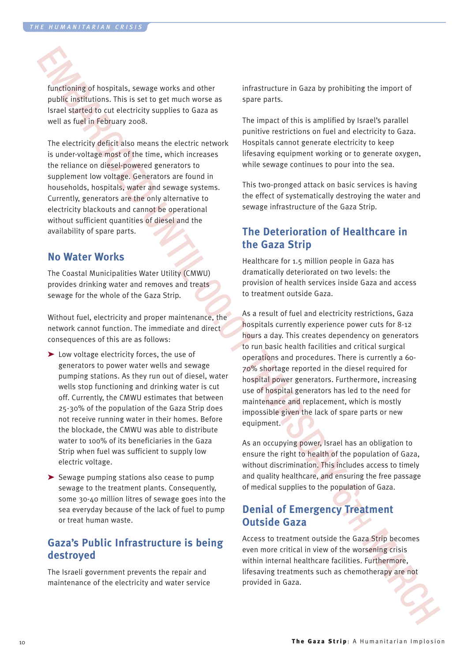functioning of hospitals, sewage works and other public institutions. This is set to get much worse as Israel started to cut electricity supplies to Gaza as well as fuel in February 2008.

The electricity deficit also means the electric network is under-voltage most of the time, which increases the reliance on diesel-powered generators to supplement low voltage. Generators are found in households, hospitals, water and sewage systems. Currently, generators are the only alternative to electricity blackouts and cannot be operational without sufficient quantities of diesel and the availability of spare parts.

#### **No Water Works**

The Coastal Municipalities Water Utility (CMWU) provides drinking water and removes and treats sewage for the whole of the Gaza Strip.

Without fuel, electricity and proper maintenance, the network cannot function. The immediate and direct consequences of this are as follows:

- EMBRONING Scheme earths and deterministic interactions in Graz by probability the input of positive interactions of the second interactions of the form of the second interactions of the second interactions of the second i ➤ Low voltage electricity forces, the use of generators to power water wells and sewage pumping stations. As they run out of diesel, water wells stop functioning and drinking water is cut off. Currently, the CMWU estimates that between 25-30% of the population of the Gaza Strip does not receive running water in their homes. Before the blockade, the CMWU was able to distribute water to 100% of its beneficiaries in the Gaza Strip when fuel was sufficient to supply low electric voltage.
	- ➤ Sewage pumping stations also cease to pump sewage to the treatment plants. Consequently, some 30-40 million litres of sewage goes into the sea everyday because of the lack of fuel to pump or treat human waste.

## **Gaza's Public Infrastructure is being destroyed**

The Israeli government prevents the repair and maintenance of the electricity and water service infrastructure in Gaza by prohibiting the import of spare parts.

The impact of this is amplified by Israel's parallel punitive restrictions on fuel and electricity to Gaza. Hospitals cannot generate electricity to keep lifesaving equipment working or to generate oxygen, while sewage continues to pour into the sea.

This two-pronged attack on basic services is having the effect of systematically destroying the water and sewage infrastructure of the Gaza Strip.

## **The Deterioration of Healthcare in the Gaza Strip**

Healthcare for 1.5 million people in Gaza has dramatically deteriorated on two levels: the provision of health services inside Gaza and access to treatment outside Gaza.

As a result of fuel and electricity restrictions, Gaza hospitals currently experience power cuts for 8-12 hours a day. This creates dependency on generators to run basic health facilities and critical surgical operations and procedures. There is currently a 60- 70% shortage reported in the diesel required for hospital power generators. Furthermore, increasing use of hospital generators has led to the need for maintenance and replacement, which is mostly impossible given the lack of spare parts or new equipment.

As an occupying power, Israel has an obligation to ensure the right to health of the population of Gaza, without discrimination. This includes access to timely and quality healthcare, and ensuring the free passage of medical supplies to the population of Gaza.

## **Denial of Emergency Treatment Outside Gaza**

Access to treatment outside the Gaza Strip becomes even more critical in view of the worsening crisis within internal healthcare facilities. Furthermore, lifesaving treatments such as chemotherapy are not provided in Gaza.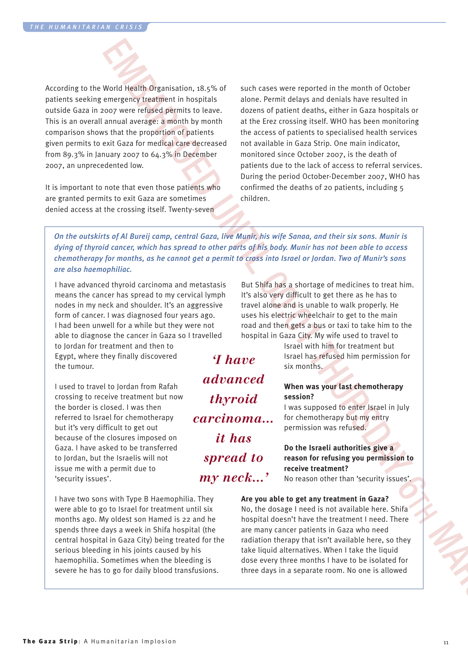According to the World Health Organisation, 18.5% of patients seeking emergency treatment in hospitals outside Gaza in 2007 were refused permits to leave. This is an overall annual average: a month by month comparison shows that the proportion of patients given permits to exit Gaza for medical care decreased from 89.3% in January 2007 to 64.3% in December 2007, an unprecedented low.

It is important to note that even those patients who are granted permits to exit Gaza are sometimes denied access at the crossing itself. Twenty-seven

Would Health Originalistics,  $B$ ,  $\psi_0$  of such cases one reported in the mests of Crisis correspondent in the correspondent in the correspondent of the correspondent in the correspondent of the mests of the corresponden such cases were reported in the month of October alone. Permit delays and denials have resulted in dozens of patient deaths, either in Gaza hospitals or at the Erez crossing itself. WHO has been monitoring the access of patients to specialised health services not available in Gaza Strip. One main indicator, monitored since October 2007, is the death of patients due to the lack of access to referral services. During the period October-December 2007, WHO has confirmed the deaths of 20 patients, including 5 children.

On the outskirts of Al Bureij camp, central Gaza, live Munir, his wife Sanaa, and their six sons. Munir is dying of thyroid cancer, which has spread to other parts of his body. Munir has not been able to access chemotherapy for months, as he cannot get a permit to cross into Israel or Jordan. Two of Munir's sons *are also haemophiliac.*

I have advanced thyroid carcinoma and metastasis means the cancer has spread to my cervical lymph nodes in my neck and shoulder. It's an aggressive form of cancer. I was diagnosed four years ago. I had been unwell for a while but they were not able to diagnose the cancer in Gaza so I travelled to Jordan for treatment and then to Egypt, where they finally discovered the tumour.

I used to travel to Jordan from Rafah crossing to receive treatment but now the border is closed. I was then referred to Israel for chemotherapy but it's very difficult to get out because of the closures imposed on Gaza. I have asked to be transferred to Jordan, but the Israelis will not issue me with a permit due to 'security issues'.

I have two sons with Type B Haemophilia. They were able to go to Israel for treatment until six months ago. My oldest son Hamed is 22 and he spends three days a week in Shifa hospital (the central hospital in Gaza City) being treated for the serious bleeding in his joints caused by his haemophilia. Sometimes when the bleeding is severe he has to go for daily blood transfusions.

But Shifa has a shortage of medicines to treat him. It's also very difficult to get there as he has to travel alone and is unable to walk properly. He uses his electric wheelchair to get to the main road and then gets a bus or taxi to take him to the hospital in Gaza City. My wife used to travel to

*'I have advanced thyroid carcinoma… it has spread to my neck…'*

Israel with him for treatment but Israel has refused him permission for six months.

#### **When was your last chemotherapy session?**

I was supposed to enter Israel in July for chemotherapy but my entry permission was refused.

#### **Do the Israeli authorities give a reason for refusing you permission to receive treatment?**

No reason other than 'security issues'.

#### **Are you able to get any treatment in Gaza?**

No, the dosage I need is not available here. Shifa hospital doesn't have the treatment I need. There are many cancer patients in Gaza who need radiation therapy that isn't available here, so they take liquid alternatives. When I take the liquid dose every three months I have to be isolated for three days in a separate room. No one is allowed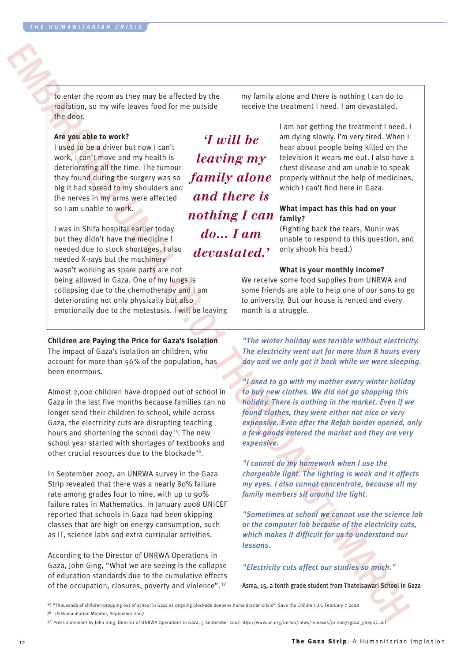to enter the room as they may be affected by the radiation, so my wife leaves food for me outside the door.

#### **Are you able to work?**

I used to be a driver but now I can't work, I can't move and my health is deteriorating all the time. The tumour they found during the surgery was so big it had spread to my shoulders and the nerves in my arms were affected so I am unable to work.

*'I will be leaving my family alone and there is nothing I can do… I am devastated.'*

EXAMPLE THE INSTEAD OF THE CONSULTION CONTINUES IS A CONSULTION OF THE CONSULTION CONSULTION CONSULTION CONSULTION CONSULTION CONSULTION CONSULTION CONSULTION CONSULTION CONSULTION CONSULTION CONSULTION CONSULTION CONSULT I was in Shifa hospital earlier today but they didn't have the medicine I needed due to stock shortages. I also needed X-rays but the machinery wasn't working as spare parts are not being allowed in Gaza. One of my lungs is collapsing due to the chemotherapy and I am deteriorating not only physically but also emotionally due to the metastasis. I will be leaving

#### **Children are Paying the Price for Gaza's Isolation**

The impact of Gaza's isolation on children, who account for more than 56% of the population, has been enormous.

Almost 2,000 children have dropped out of school in Gaza in the last five months because families can no longer send their children to school, while across Gaza, the electricity cuts are disrupting teaching hours and shortening the school day<sup>35</sup>. The new school year started with shortages of textbooks and other crucial resources due to the blockade<sup>36</sup>.

In September 2007, an UNRWA survey in the Gaza Strip revealed that there was a nearly 80% failure rate among grades four to nine, with up to 90% failure rates in Mathematics. In January 2008 UNICEF reported that schools in Gaza had been skipping classes that are high on energy consumption, such as IT, science labs and extra curricular activities.

According to the Director of UNRWA Operations in Gaza, John Ging, "What we are seeing is the collapse of education standards due to the cumulative effects of the occupation, closures, poverty and violence".37

my family alone and there is nothing I can do to receive the treatment I need. I am devastated.

> I am not getting the treatment I need. I am dying slowly. I'm very tired. When I hear about people being killed on the television it wears me out. I also have a chest disease and am unable to speak properly without the help of medicines, which I can't find here in Gaza.

#### **What impact has this had on your family?**

(Fighting back the tears, Munir was unable to respond to this question, and only shook his head.)

#### **What is your monthly income?**

We receive some food supplies from UNRWA and some friends are able to help one of our sons to go to university. But our house is rented and every month is a struggle.

*"The winter holiday was terrible without electricity. The electricity went out for more than 8 hours every day and we only got it back while we were sleeping.*

*"I used to go with my mother every winter holiday to buy new clothes. We did not go shopping this holiday. There is nothing in the market. Even if we found clothes, they were either not nice or very expensive. Even after the Rafah border opened, only a few goods entered the market and they are very expensive.*

*"I cannot do my homework when I use the chargeable light. The lighting is weak and it affects my eyes. I also cannot concentrate, because all my family members sit around the light.*

*"Sometimes at school we cannot use the science lab or the computer lab because of the electricity cuts, which makes it difficult for us to understand our lessons.*

#### *"Electricity cuts affect our studies so much."*

Asma, 15, a tenth grade student from Thatelsawari School in Gaza

35 "Thousands of children dropping out of school in Gaza as ongoing blockade deepens humanitarian crisis", Save the Children UK, February 7 2008

36 UN Humanitarian Monitor, September 2007

<sup>37</sup> Press statement by John Ging, Director of UNRWA Operations in Gaza, 5 September 2007 http://www.un.org/unrwa/news/releases/pr-2007/gaza\_5Sep07.pdf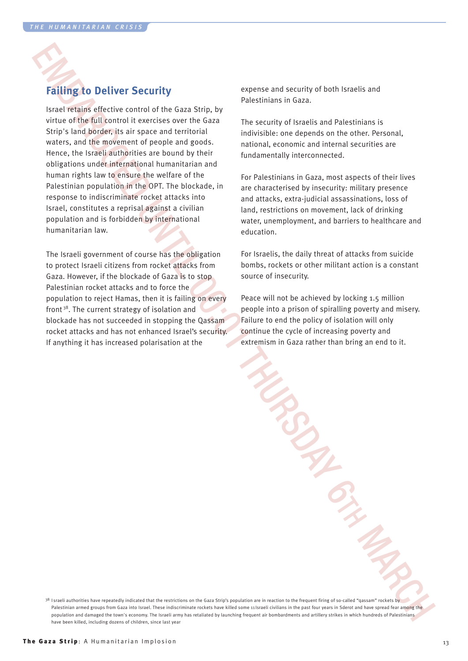## **Failing to Deliver Security**

Failung to Deliver Security<br>
beneficial strategies and security the result of the final strategies and security of the results of the results of the results of the results of the results of the results of the results of t Israel retains effective control of the Gaza Strip, by virtue of the full control it exercises over the Gaza Strip's land border, its air space and territorial waters, and the movement of people and goods. Hence, the Israeli authorities are bound by their obligations under international humanitarian and human rights law to ensure the welfare of the Palestinian population in the OPT. The blockade, in response to indiscriminate rocket attacks into Israel, constitutes a reprisal against a civilian population and is forbidden by international humanitarian law.

The Israeli government of course has the obligation to protect Israeli citizens from rocket attacks from Gaza. However, if the blockade of Gaza is to stop Palestinian rocket attacks and to force the population to reject Hamas, then it is failing on every front<sup>38</sup>. The current strategy of isolation and blockade has not succeeded in stopping the Qassam rocket attacks and has not enhanced Israel's security. If anything it has increased polarisation at the

expense and security of both Israelis and Palestinians in Gaza.

The security of Israelis and Palestinians is indivisible: one depends on the other. Personal, national, economic and internal securities are fundamentally interconnected.

For Palestinians in Gaza, most aspects of their lives are characterised by insecurity: military presence and attacks, extra-judicial assassinations, loss of land, restrictions on movement, lack of drinking water, unemployment, and barriers to healthcare and education.

For Israelis, the daily threat of attacks from suicide bombs, rockets or other militant action is a constant source of insecurity.

Peace will not be achieved by locking 1.5 million people into a prison of spiralling poverty and misery. Failure to end the policy of isolation will only continue the cycle of increasing poverty and extremism in Gaza rather than bring an end to it.

<sup>38</sup> Israeli authorities have repeatedly indicated that the restrictions on the Gaza Strip's population are in reaction to the frequent firing of so-called "qassam" rockets by Palestinian armed groups from Gaza into Israel. These indiscriminate rockets have killed some 11 Israeli civilians in the past four years in Sderot and have spread fear among the population and damaged the town's economy. The Israeli army has retaliated by launching frequent air bombardments and artillery strikes in which hundreds of Palestinians have been killed, including dozens of children, since last year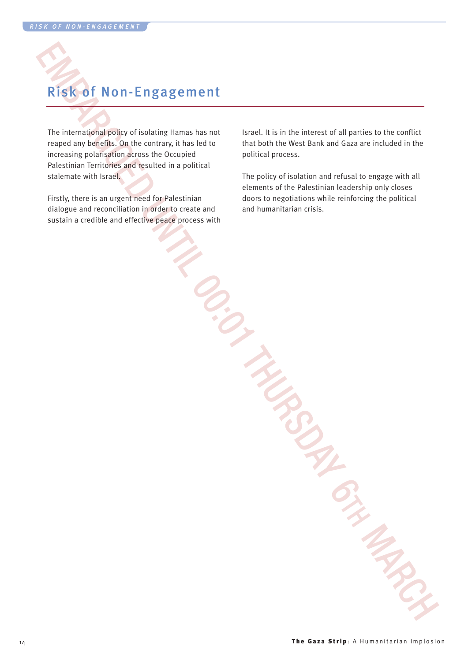# Risk of Non-Engagement

EXERCT NON-Engagement<br>
Neumanning policy distinction provides and solvent in the state of the state of the state of the state of the state of the state of the state of the state of the state of the state of the state of th The international policy of isolating Hamas has not reaped any benefits. On the contrary, it has led to increasing polarisation across the Occupied Palestinian Territories and resulted in a political stalemate with Israel.

Firstly, there is an urgent need for Palestinian dialogue and reconciliation in order to create and sustain a credible and effective peace process with Israel. It is in the interest of all parties to the conflict that both the West Bank and Gaza are included in the political process.

The policy of isolation and refusal to engage with all elements of the Palestinian leadership only closes doors to negotiations while reinforcing the political and humanitarian crisis.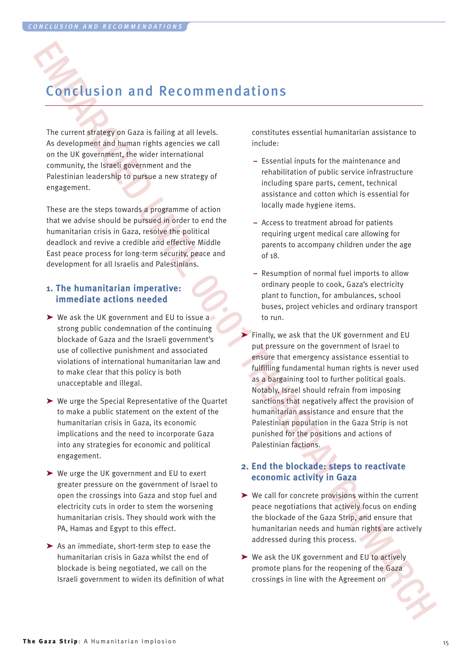## Conclusion and Recommendations

The current strategy on Gaza is failing at all levels. As development and human rights agencies we call on the UK government, the wider international community, the Israeli government and the Palestinian leadership to pursue a new strategy of engagement.

These are the steps towards a programme of action that we advise should be pursued in order to end the humanitarian crisis in Gaza, resolve the political deadlock and revive a credible and effective Middle East peace process for long-term security, peace and development for all Israelis and Palestinians.

#### **1. The humanitarian imperative: immediate actions needed**

- ➤ We ask the UK government and EU to issue a strong public condemnation of the continuing blockade of Gaza and the Israeli government's use of collective punishment and associated violations of international humanitarian law and to make clear that this policy is both unacceptable and illegal.
- ➤ We urge the Special Representative of the Quartet to make a public statement on the extent of the humanitarian crisis in Gaza, its economic implications and the need to incorporate Gaza into any strategies for economic and political engagement.
- ➤ We urge the UK government and EU to exert greater pressure on the government of Israel to open the crossings into Gaza and stop fuel and electricity cuts in order to stem the worsening humanitarian crisis. They should work with the PA, Hamas and Egypt to this effect.
- ➤ As an immediate, short-term step to ease the humanitarian crisis in Gaza whilst the end of blockade is being negotiated, we call on the Israeli government to widen its definition of what

constitutes essential humanitarian assistance to include:

- **–** Essential inputs for the maintenance and rehabilitation of public service infrastructure including spare parts, cement, technical assistance and cotton which is essential for locally made hygiene items.
- **–** Access to treatment abroad for patients requiring urgent medical care allowing for parents to accompany children under the age of 18.
- **–** Resumption of normal fuel imports to allow ordinary people to cook, Gaza's electricity plant to function, for ambulances, school buses, project vehicles and ordinary transport to run.
- Concellusion and Recommendations<br>
Note the content of the set of the set of the set of the set of the set of the set of the set of the set of the set of the set of the set of the set of the set of the set of the set of th ► Finally, we ask that the UK government and EU put pressure on the government of Israel to ensure that emergency assistance essential to fulfilling fundamental human rights is never used as a bargaining tool to further political goals. Notably, Israel should refrain from imposing sanctions that negatively affect the provision of humanitarian assistance and ensure that the Palestinian population in the Gaza Strip is not punished for the positions and actions of Palestinian factions.

#### **2. End the blockade: steps to reactivate economic activity in Gaza**

- ➤ We call for concrete provisions within the current peace negotiations that actively focus on ending the blockade of the Gaza Strip, and ensure that humanitarian needs and human rights are actively addressed during this process.
- ➤ We ask the UK government and EU to actively promote plans for the reopening of the Gaza crossings in line with the Agreement on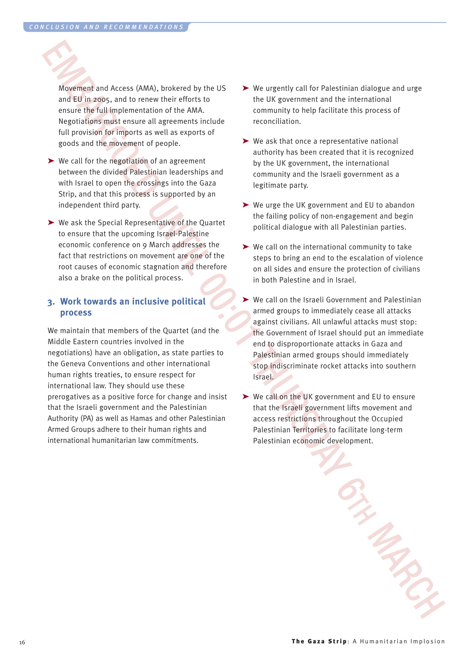Movement and Access (AMA), brokered by the US and EU in 2005, and to renew their efforts to ensure the full implementation of the AMA. Negotiations must ensure all agreements include full provision for imports as well as exports of goods and the movement of people.

- ➤ We call for the negotiation of an agreement between the divided Palestinian leaderships and with Israel to open the crossings into the Gaza Strip, and that this process is supported by an independent third party.
- ➤ We ask the Special Representative of the Quartet to ensure that the upcoming Israel-Palestine economic conference on 9 March addresses the fact that restrictions on movement are one of the root causes of economic stagnation and therefore also a brake on the political process.

#### **3. Work towards an inclusive political process**

EMBED AN EXAMPLE IN the system of the U.S. The system of the system of the system of the system of the system of the system of the system of the system of the system of the system of the system of the system of the system We maintain that members of the Quartet (and the Middle Eastern countries involved in the negotiations) have an obligation, as state parties to the Geneva Conventions and other international human rights treaties, to ensure respect for international law. They should use these prerogatives as a positive force for change and insist that the Israeli government and the Palestinian Authority (PA) as well as Hamas and other Palestinian Armed Groups adhere to their human rights and international humanitarian law commitments.

- ➤ We urgently call for Palestinian dialogue and urge the UK government and the international community to help facilitate this process of reconciliation.
- ➤ We ask that once a representative national authority has been created that it is recognized by the UK government, the international community and the Israeli government as a legitimate party.
- ➤ We urge the UK government and EU to abandon the failing policy of non-engagement and begin political dialogue with all Palestinian parties.
- ➤ We call on the international community to take steps to bring an end to the escalation of violence on all sides and ensure the protection of civilians in both Palestine and in Israel.
- ➤ We call on the Israeli Government and Palestinian armed groups to immediately cease all attacks against civilians. All unlawful attacks must stop: the Government of Israel should put an immediate end to disproportionate attacks in Gaza and Palestinian armed groups should immediately stop indiscriminate rocket attacks into southern Israel.
- ➤ We call on the UK government and EU to ensure that the Israeli government lifts movement and access restrictions throughout the Occupied Palestinian Territories to facilitate long-term Palestinian economic development.

**The Gaza Strip**: A Humanitarian Implosion